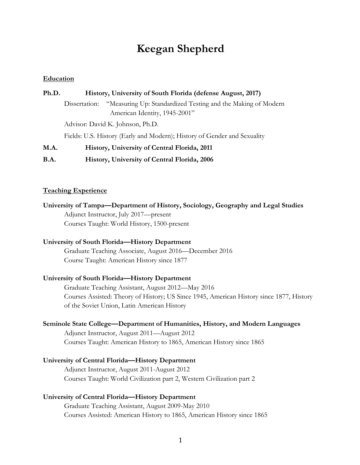# **Keegan Shepherd**

# **Education**

| Ph.D. | History, University of South Florida (defense August, 2017)                                                    |
|-------|----------------------------------------------------------------------------------------------------------------|
|       | "Measuring Up: Standardized Testing and the Making of Modern<br>Dissertation:<br>American Identity, 1945-2001" |
|       | Advisor: David K. Johnson, Ph.D.                                                                               |
|       | Fields: U.S. History (Early and Modern); History of Gender and Sexuality                                       |
| M.A.  | History, University of Central Florida, 2011                                                                   |
| B.A.  | History, University of Central Florida, 2006                                                                   |

# **Teaching Experience**

**University of Tampa—Department of History, Sociology, Geography and Legal Studies** Adjunct Instructor, July 2017—present Courses Taught: World History, 1500-present

# **University of South Florida—History Department**

Graduate Teaching Associate, August 2016—December 2016 Course Taught: American History since 1877

#### **University of South Florida—History Department**

Graduate Teaching Assistant, August 2012—May 2016 Courses Assisted: Theory of History; US Since 1945, American History since 1877, History of the Soviet Union, Latin American History

### **Seminole State College—Department of Humanities, History, and Modern Languages**

Adjunct Instructor, August 2011—August 2012 Courses Taught: American History to 1865, American History since 1865

#### **University of Central Florida—History Department**

Adjunct Instructor, August 2011-August 2012 Courses Taught: World Civilization part 2, Western Civilization part 2

### **University of Central Florida—History Department**

Graduate Teaching Assistant, August 2009-May 2010 Courses Assisted: American History to 1865, American History since 1865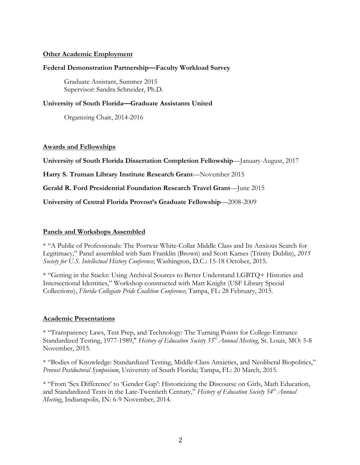# **Other Academic Employment**

# **Federal Demonstration Partnership—Faculty Workload Survey**

Graduate Assistant, Summer 2015 Supervisor: Sandra Schneider, Ph.D.

# **University of South Florida—Graduate Assistants United**

Organizing Chair, 2014-2016

# **Awards and Fellowships**

**University of South Florida Dissertation Completion Fellowship**—January-August, 2017

**Harry S. Truman Library Institute Research Grant**—November 2015

**Gerald R. Ford Presidential Foundation Research Travel Grant**—June 2015

**University of Central Florida Provost's Graduate Fellowship**—2008-2009

# **Panels and Workshops Assembled**

\* "A Public of Professionals: The Postwar White-Collar Middle Class and Its Anxious Search for Legitimacy," Panel assembled with Sam Franklin (Brown) and Scott Kames (Trinity Dublin), *2015 Society for U.S. Intellectual History Conference*; Washington, D.C.: 15-18 October, 2015.

\* "Getting in the Stacks: Using Archival Sources to Better Understand LGBTQ+ Histories and Intersectional Identities," Workshop constructed with Matt Knight (USF Library Special Collections), *Florida Collegiate Pride Coalition Conference*; Tampa, FL: 28 February, 2015.

# **Academic Presentations**

\* "Transparency Laws, Test Prep, and Technology: The Turning Points for College-Entrance Standardized Testing, 1977-1989," *History of Education Society 55th Annual Meeting*, St. Louis, MO: 5-8 November, 2015.

\* "Bodies of Knowledge: Standardized Testing, Middle-Class Anxieties, and Neoliberal Biopolitics," *Provost Postdoctoral Symposium*, University of South Florida; Tampa, FL: 20 March, 2015.

\* "From 'Sex Difference' to 'Gender Gap': Historicizing the Discourse on Girls, Math Education, and Standardized Tests in the Late-Twentieth Century," *History of Education Society 54th Annual Meeting*, Indianapolis, IN: 6-9 November, 2014.